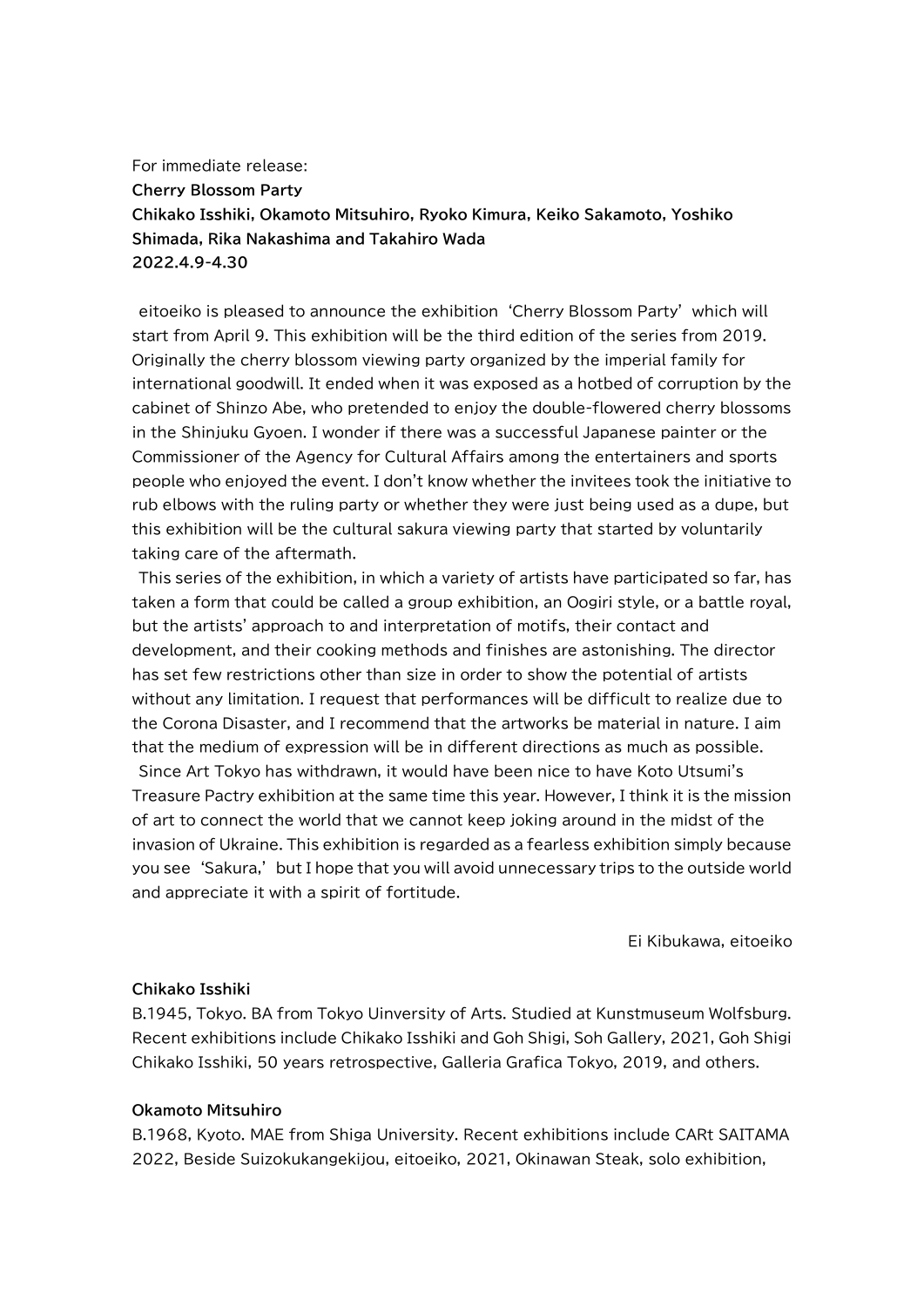For immediate release: **Cherry Blossom Party Chikako Isshiki, Okamoto Mitsuhiro, Ryoko Kimura, Keiko Sakamoto, Yoshiko Shimada, Rika Nakashima and Takahiro Wada 2022.4.9-4.30**

eitoeiko is pleased to announce the exhibition 'Cherry Blossom Party' which will start from April 9. This exhibition will be the third edition of the series from 2019. Originally the cherry blossom viewing party organized by the imperial family for international goodwill. It ended when it was exposed as a hotbed of corruption by the cabinet of Shinzo Abe, who pretended to enjoy the double-flowered cherry blossoms in the Shinjuku Gyoen. I wonder if there was a successful Japanese painter or the Commissioner of the Agency for Cultural Affairs among the entertainers and sports people who enjoyed the event. I don't know whether the invitees took the initiative to rub elbows with the ruling party or whether they were just being used as a dupe, but this exhibition will be the cultural sakura viewing party that started by voluntarily taking care of the aftermath.

This series of the exhibition, in which a variety of artists have participated so far, has taken a form that could be called a group exhibition, an Oogiri style, or a battle royal, but the artists' approach to and interpretation of motifs, their contact and development, and their cooking methods and finishes are astonishing. The director has set few restrictions other than size in order to show the potential of artists without any limitation. I request that performances will be difficult to realize due to the Corona Disaster, and I recommend that the artworks be material in nature. I aim that the medium of expression will be in different directions as much as possible. Since Art Tokyo has withdrawn, it would have been nice to have Koto Utsumi's Treasure Pactry exhibition at the same time this year. However, I think it is the mission of art to connect the world that we cannot keep joking around in the midst of the

invasion of Ukraine. This exhibition is regarded as a fearless exhibition simply because you see 'Sakura,' but I hope that you willavoid unnecessary trips to the outside world and appreciate it with aspirit of fortitude.

Ei Kibukawa, eitoeiko

#### **Chikako Isshiki**

B.1945, Tokyo. BA from Tokyo Uinversity of Arts. Studied at Kunstmuseum Wolfsburg. Recent exhibitions include Chikako Isshiki and Goh Shigi, Soh Gallery, 2021, Goh Shigi Chikako Isshiki, 50 years retrospective, Galleria Grafica Tokyo, 2019, and others.

#### **Okamoto Mitsuhiro**

B.1968, Kyoto. MAE from Shiga University. Recent exhibitions include CARt SAITAMA 2022, Beside Suizokukangekijou, eitoeiko, 2021, Okinawan Steak, solo exhibition,